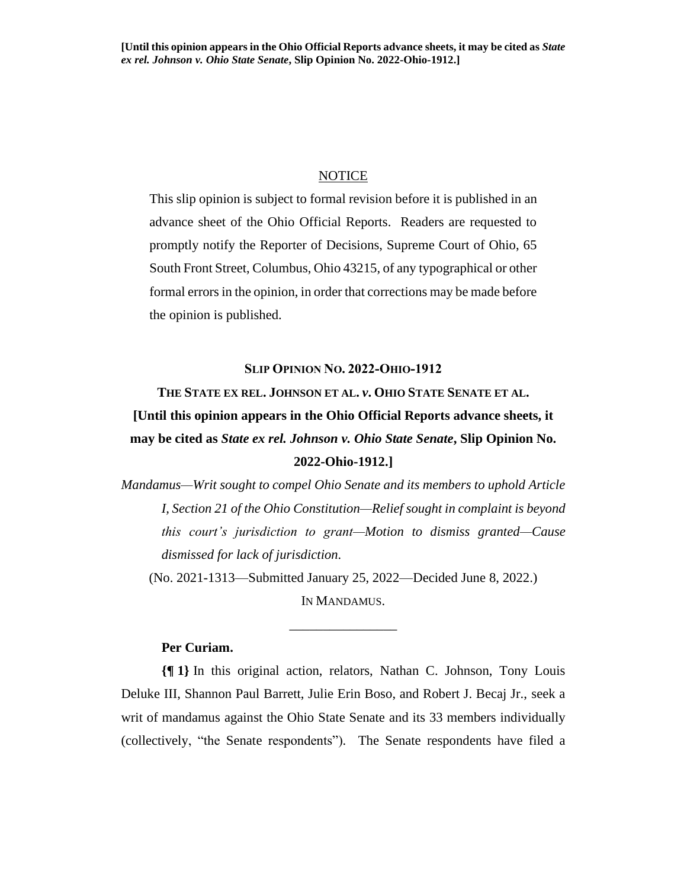### NOTICE

This slip opinion is subject to formal revision before it is published in an advance sheet of the Ohio Official Reports. Readers are requested to promptly notify the Reporter of Decisions, Supreme Court of Ohio, 65 South Front Street, Columbus, Ohio 43215, of any typographical or other formal errors in the opinion, in order that corrections may be made before the opinion is published.

#### **SLIP OPINION NO. 2022-OHIO-1912**

**THE STATE EX REL. JOHNSON ET AL.** *v***. OHIO STATE SENATE ET AL. [Until this opinion appears in the Ohio Official Reports advance sheets, it may be cited as** *State ex rel. Johnson v. Ohio State Senate***, Slip Opinion No. 2022-Ohio-1912.]**

*Mandamus—Writ sought to compel Ohio Senate and its members to uphold Article I, Section 21 of the Ohio Constitution—Relief sought in complaint is beyond this court's jurisdiction to grant—Motion to dismiss granted—Cause dismissed for lack of jurisdiction.*

(No. 2021-1313—Submitted January 25, 2022—Decided June 8, 2022.)

IN MANDAMUS. \_\_\_\_\_\_\_\_\_\_\_\_\_\_\_\_

# **Per Curiam.**

**{¶ 1}** In this original action, relators, Nathan C. Johnson, Tony Louis Deluke III, Shannon Paul Barrett, Julie Erin Boso, and Robert J. Becaj Jr., seek a writ of mandamus against the Ohio State Senate and its 33 members individually (collectively, "the Senate respondents"). The Senate respondents have filed a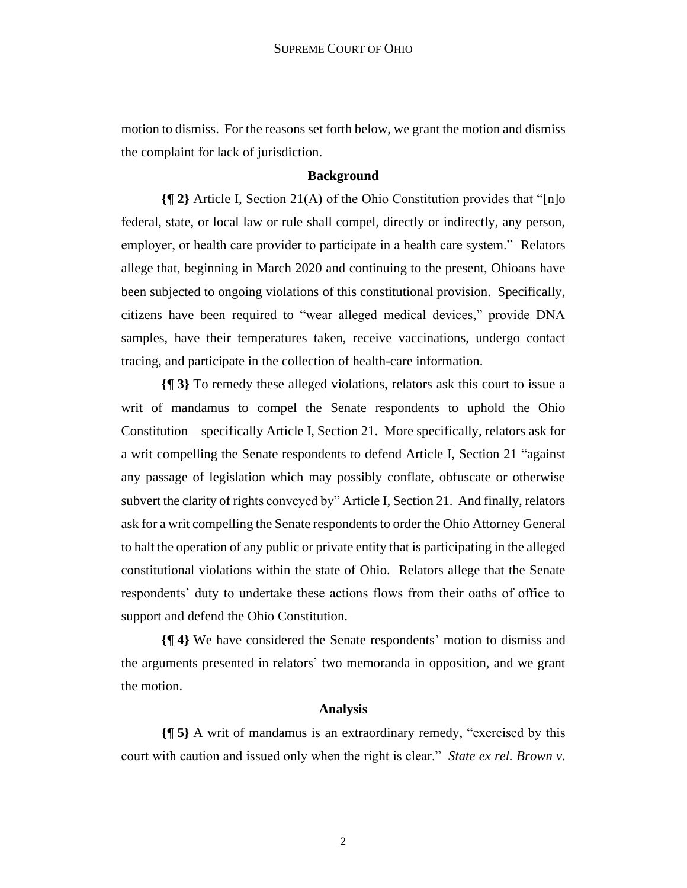motion to dismiss. For the reasons set forth below, we grant the motion and dismiss the complaint for lack of jurisdiction.

# **Background**

**{¶ 2}** Article I, Section 21(A) of the Ohio Constitution provides that "[n]o federal, state, or local law or rule shall compel, directly or indirectly, any person, employer, or health care provider to participate in a health care system." Relators allege that, beginning in March 2020 and continuing to the present, Ohioans have been subjected to ongoing violations of this constitutional provision. Specifically, citizens have been required to "wear alleged medical devices," provide DNA samples, have their temperatures taken, receive vaccinations, undergo contact tracing, and participate in the collection of health-care information.

**{¶ 3}** To remedy these alleged violations, relators ask this court to issue a writ of mandamus to compel the Senate respondents to uphold the Ohio Constitution—specifically Article I, Section 21. More specifically, relators ask for a writ compelling the Senate respondents to defend Article I, Section 21 "against any passage of legislation which may possibly conflate, obfuscate or otherwise subvert the clarity of rights conveyed by" Article I, Section 21. And finally, relators ask for a writ compelling the Senate respondents to order the Ohio Attorney General to halt the operation of any public or private entity that is participating in the alleged constitutional violations within the state of Ohio. Relators allege that the Senate respondents' duty to undertake these actions flows from their oaths of office to support and defend the Ohio Constitution.

**{¶ 4}** We have considered the Senate respondents' motion to dismiss and the arguments presented in relators' two memoranda in opposition, and we grant the motion.

# **Analysis**

**{¶ 5}** A writ of mandamus is an extraordinary remedy, "exercised by this court with caution and issued only when the right is clear." *State ex rel. Brown v.*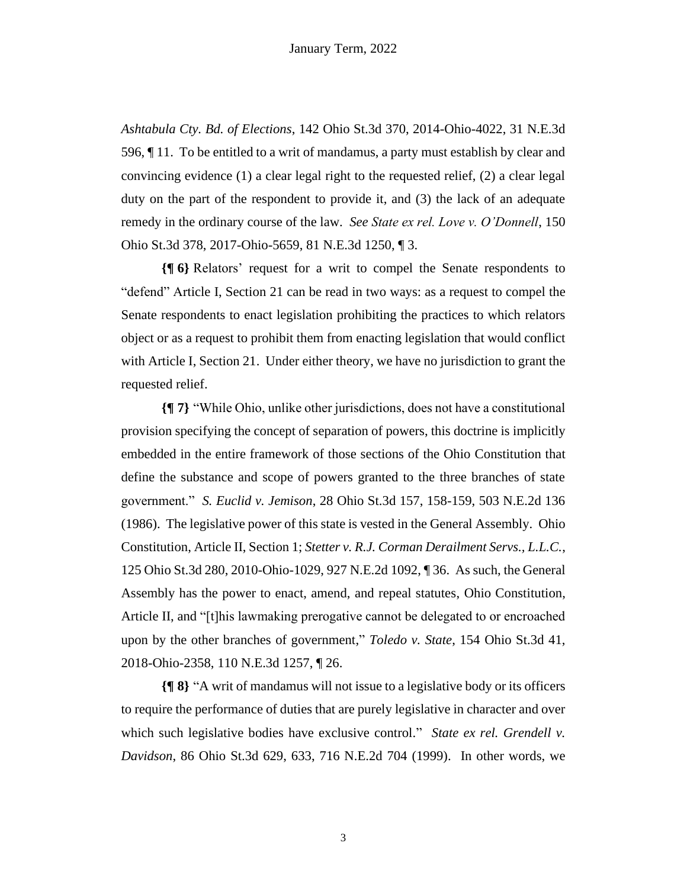*Ashtabula Cty. Bd. of Elections*, 142 Ohio St.3d 370, 2014-Ohio-4022, 31 N.E.3d 596, ¶ 11. To be entitled to a writ of mandamus, a party must establish by clear and convincing evidence (1) a clear legal right to the requested relief, (2) a clear legal duty on the part of the respondent to provide it, and (3) the lack of an adequate remedy in the ordinary course of the law. *See State ex rel. Love v. O'Donnell*, 150 Ohio St.3d 378, 2017-Ohio-5659, 81 N.E.3d 1250, ¶ 3.

**{¶ 6}** Relators' request for a writ to compel the Senate respondents to "defend" Article I, Section 21 can be read in two ways: as a request to compel the Senate respondents to enact legislation prohibiting the practices to which relators object or as a request to prohibit them from enacting legislation that would conflict with Article I, Section 21. Under either theory, we have no jurisdiction to grant the requested relief.

**{¶ 7}** "While Ohio, unlike other jurisdictions, does not have a constitutional provision specifying the concept of separation of powers, this doctrine is implicitly embedded in the entire framework of those sections of the Ohio Constitution that define the substance and scope of powers granted to the three branches of state government." *S. Euclid v. Jemison*, 28 Ohio St.3d 157, 158-159, 503 N.E.2d 136 (1986). The legislative power of this state is vested in the General Assembly. Ohio Constitution, Article II, Section 1; *Stetter v. R.J. Corman Derailment Servs., L.L.C.*, 125 Ohio St.3d 280, 2010-Ohio-1029, 927 N.E.2d 1092, ¶ 36. As such, the General Assembly has the power to enact, amend, and repeal statutes, Ohio Constitution, Article II, and "[t]his lawmaking prerogative cannot be delegated to or encroached upon by the other branches of government," *Toledo v. State*, 154 Ohio St.3d 41, 2018-Ohio-2358, 110 N.E.3d 1257, ¶ 26.

**{¶ 8}** "A writ of mandamus will not issue to a legislative body or its officers to require the performance of duties that are purely legislative in character and over which such legislative bodies have exclusive control." *State ex rel. Grendell v. Davidson*, 86 Ohio St.3d 629, 633, 716 N.E.2d 704 (1999). In other words, we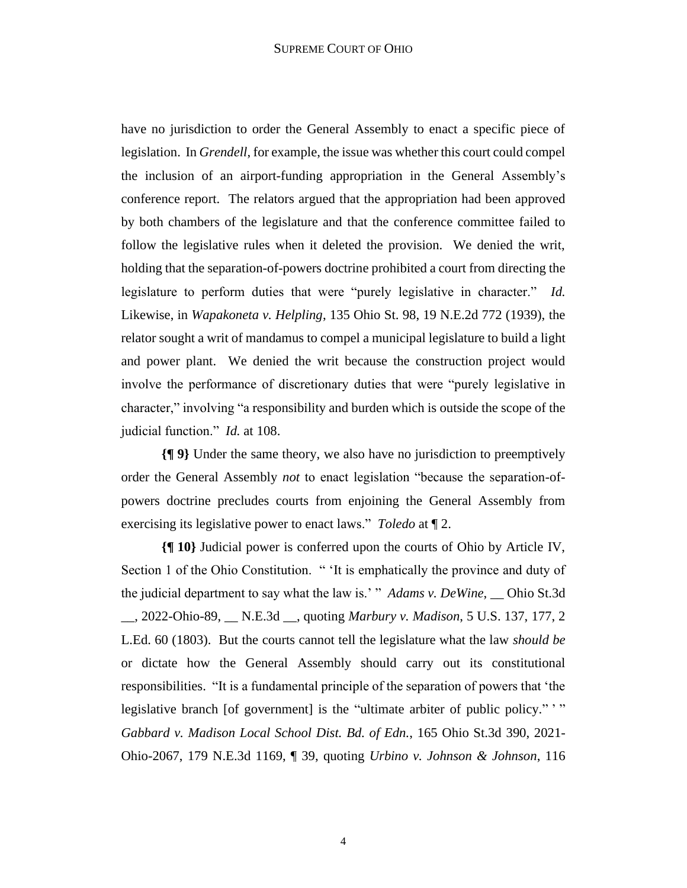have no jurisdiction to order the General Assembly to enact a specific piece of legislation. In *Grendell*, for example, the issue was whether this court could compel the inclusion of an airport-funding appropriation in the General Assembly's conference report. The relators argued that the appropriation had been approved by both chambers of the legislature and that the conference committee failed to follow the legislative rules when it deleted the provision. We denied the writ, holding that the separation-of-powers doctrine prohibited a court from directing the legislature to perform duties that were "purely legislative in character." *Id.* Likewise, in *Wapakoneta v. Helpling*, 135 Ohio St. 98, 19 N.E.2d 772 (1939), the relator sought a writ of mandamus to compel a municipal legislature to build a light and power plant. We denied the writ because the construction project would involve the performance of discretionary duties that were "purely legislative in character," involving "a responsibility and burden which is outside the scope of the judicial function." *Id.* at 108.

**{¶ 9}** Under the same theory, we also have no jurisdiction to preemptively order the General Assembly *not* to enact legislation "because the separation-ofpowers doctrine precludes courts from enjoining the General Assembly from exercising its legislative power to enact laws." *Toledo* at ¶ 2.

**{¶ 10}** Judicial power is conferred upon the courts of Ohio by Article IV, Section 1 of the Ohio Constitution. " 'It is emphatically the province and duty of the judicial department to say what the law is.' " *Adams v. DeWine*, \_\_ Ohio St.3d \_\_, 2022-Ohio-89, \_\_ N.E.3d \_\_, quoting *Marbury v. Madison*, 5 U.S. 137, 177, 2 L.Ed. 60 (1803). But the courts cannot tell the legislature what the law *should be* or dictate how the General Assembly should carry out its constitutional responsibilities. "It is a fundamental principle of the separation of powers that 'the legislative branch [of government] is the "ultimate arbiter of public policy." " *Gabbard v. Madison Local School Dist. Bd. of Edn.*, 165 Ohio St.3d 390, 2021- Ohio-2067, 179 N.E.3d 1169, ¶ 39, quoting *Urbino v. Johnson & Johnson*, 116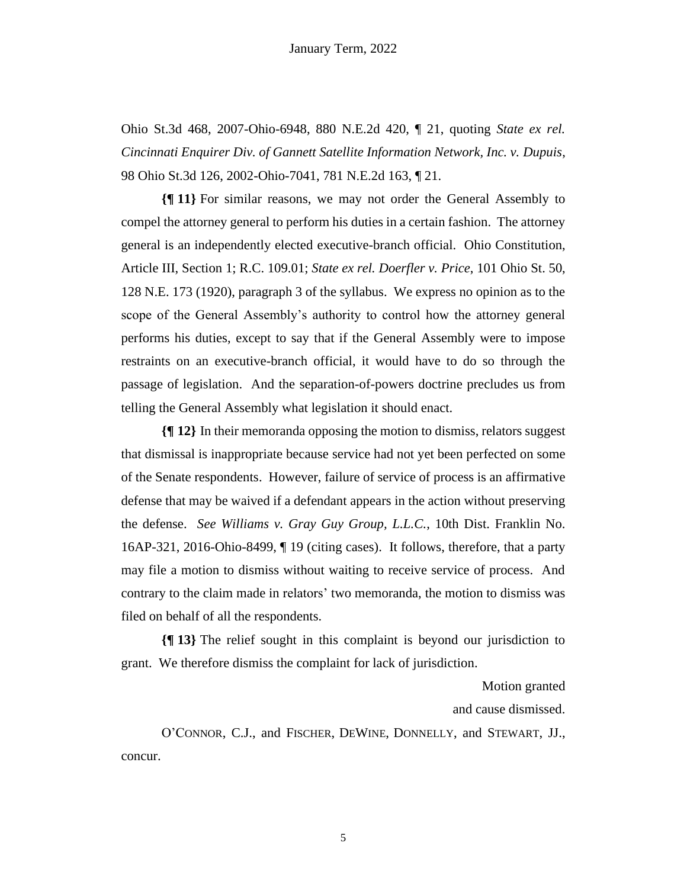Ohio St.3d 468, 2007-Ohio-6948, 880 N.E.2d 420, ¶ 21, quoting *State ex rel. Cincinnati Enquirer Div. of Gannett Satellite Information Network, Inc. v. Dupuis*, 98 Ohio St.3d 126, 2002-Ohio-7041, 781 N.E.2d 163, ¶ 21.

**{¶ 11}** For similar reasons, we may not order the General Assembly to compel the attorney general to perform his duties in a certain fashion. The attorney general is an independently elected executive-branch official. Ohio Constitution, Article III, Section 1; R.C. 109.01; *State ex rel. Doerfler v. Price*, 101 Ohio St. 50, 128 N.E. 173 (1920), paragraph 3 of the syllabus. We express no opinion as to the scope of the General Assembly's authority to control how the attorney general performs his duties, except to say that if the General Assembly were to impose restraints on an executive-branch official, it would have to do so through the passage of legislation. And the separation-of-powers doctrine precludes us from telling the General Assembly what legislation it should enact.

**{¶ 12}** In their memoranda opposing the motion to dismiss, relators suggest that dismissal is inappropriate because service had not yet been perfected on some of the Senate respondents. However, failure of service of process is an affirmative defense that may be waived if a defendant appears in the action without preserving the defense. *See Williams v. Gray Guy Group, L.L.C.*, 10th Dist. Franklin No. 16AP-321, 2016-Ohio-8499, ¶ 19 (citing cases). It follows, therefore, that a party may file a motion to dismiss without waiting to receive service of process. And contrary to the claim made in relators' two memoranda, the motion to dismiss was filed on behalf of all the respondents.

**{¶ 13}** The relief sought in this complaint is beyond our jurisdiction to grant. We therefore dismiss the complaint for lack of jurisdiction.

Motion granted

and cause dismissed.

O'CONNOR, C.J., and FISCHER, DEWINE, DONNELLY, and STEWART, JJ., concur.

5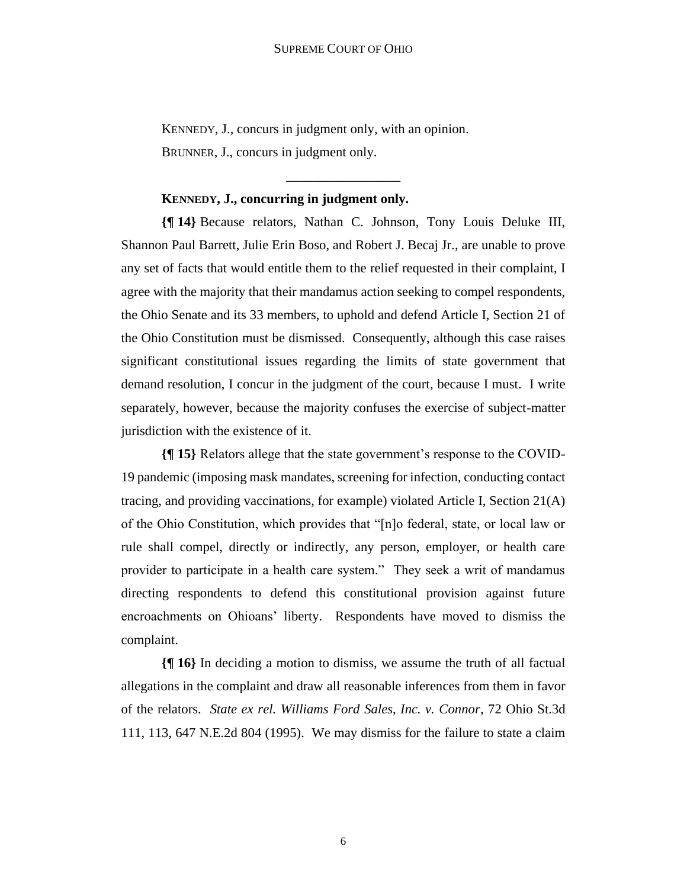\_\_\_\_\_\_\_\_\_\_\_\_\_\_\_\_\_

KENNEDY, J., concurs in judgment only, with an opinion. BRUNNER, J., concurs in judgment only.

### **KENNEDY, J., concurring in judgment only.**

**{¶ 14}** Because relators, Nathan C. Johnson, Tony Louis Deluke III, Shannon Paul Barrett, Julie Erin Boso, and Robert J. Becaj Jr., are unable to prove any set of facts that would entitle them to the relief requested in their complaint, I agree with the majority that their mandamus action seeking to compel respondents, the Ohio Senate and its 33 members, to uphold and defend Article I, Section 21 of the Ohio Constitution must be dismissed. Consequently, although this case raises significant constitutional issues regarding the limits of state government that demand resolution, I concur in the judgment of the court, because I must. I write separately, however, because the majority confuses the exercise of subject-matter jurisdiction with the existence of it.

**{¶ 15}** Relators allege that the state government's response to the COVID-19 pandemic (imposing mask mandates, screening for infection, conducting contact tracing, and providing vaccinations, for example) violated Article I, Section 21(A) of the Ohio Constitution, which provides that "[n]o federal, state, or local law or rule shall compel, directly or indirectly, any person, employer, or health care provider to participate in a health care system." They seek a writ of mandamus directing respondents to defend this constitutional provision against future encroachments on Ohioans' liberty. Respondents have moved to dismiss the complaint.

**{¶ 16}** In deciding a motion to dismiss, we assume the truth of all factual allegations in the complaint and draw all reasonable inferences from them in favor of the relators. *State ex rel. Williams Ford Sales, Inc. v. Connor*, 72 Ohio St.3d 111, 113, 647 N.E.2d 804 (1995). We may dismiss for the failure to state a claim

6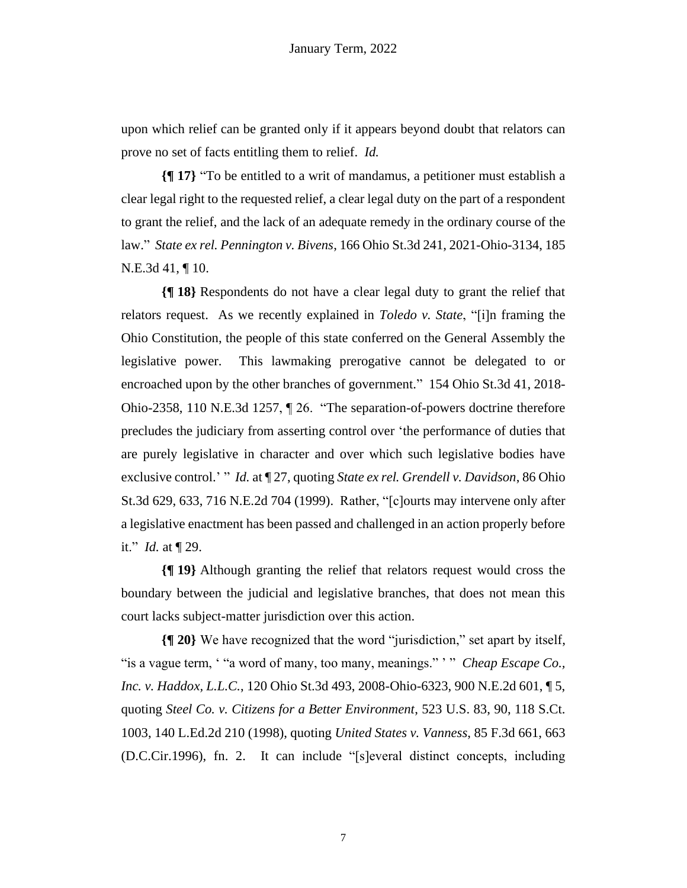upon which relief can be granted only if it appears beyond doubt that relators can prove no set of facts entitling them to relief. *Id.*

**{¶ 17}** "To be entitled to a writ of mandamus, a petitioner must establish a clear legal right to the requested relief, a clear legal duty on the part of a respondent to grant the relief, and the lack of an adequate remedy in the ordinary course of the law." *State ex rel. Pennington v. Bivens*, 166 Ohio St.3d 241, 2021-Ohio-3134, 185 N.E.3d 41, ¶ 10.

**{¶ 18}** Respondents do not have a clear legal duty to grant the relief that relators request. As we recently explained in *Toledo v. State*, "[i]n framing the Ohio Constitution, the people of this state conferred on the General Assembly the legislative power. This lawmaking prerogative cannot be delegated to or encroached upon by the other branches of government." 154 Ohio St.3d 41, 2018- Ohio-2358, 110 N.E.3d 1257, ¶ 26. "The separation-of-powers doctrine therefore precludes the judiciary from asserting control over 'the performance of duties that are purely legislative in character and over which such legislative bodies have exclusive control.' " *Id.* at ¶ 27, quoting *State ex rel. Grendell v. Davidson*, 86 Ohio St.3d 629, 633, 716 N.E.2d 704 (1999). Rather, "[c]ourts may intervene only after a legislative enactment has been passed and challenged in an action properly before it." *Id.* at ¶ 29.

**{¶ 19}** Although granting the relief that relators request would cross the boundary between the judicial and legislative branches, that does not mean this court lacks subject-matter jurisdiction over this action.

**{¶ 20}** We have recognized that the word "jurisdiction," set apart by itself, "is a vague term, ' "a word of many, too many, meanings." ' " *Cheap Escape Co., Inc. v. Haddox, L.L.C.*, 120 Ohio St.3d 493, 2008-Ohio-6323, 900 N.E.2d 601, ¶ 5, quoting *Steel Co. v. Citizens for a Better Environment*, 523 U.S. 83, 90, 118 S.Ct. 1003, 140 L.Ed.2d 210 (1998), quoting *United States v. Vanness*, 85 F.3d 661, 663 (D.C.Cir.1996), fn. 2. It can include "[s]everal distinct concepts, including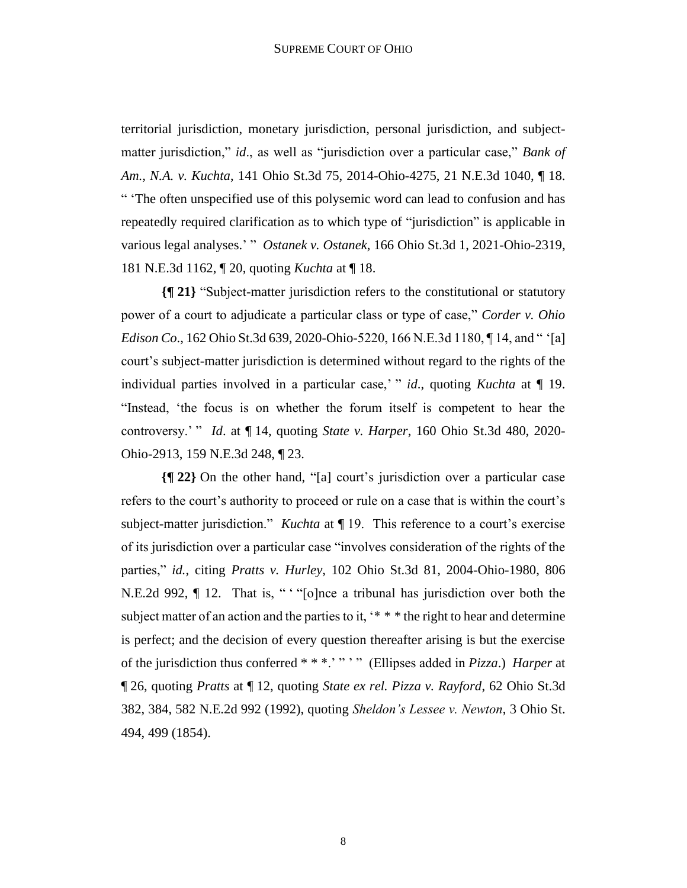territorial jurisdiction, monetary jurisdiction, personal jurisdiction, and subjectmatter jurisdiction," *id*., as well as "jurisdiction over a particular case," *Bank of Am., N.A. v. Kuchta*, 141 Ohio St.3d 75, 2014-Ohio-4275, 21 N.E.3d 1040, ¶ 18. " 'The often unspecified use of this polysemic word can lead to confusion and has repeatedly required clarification as to which type of "jurisdiction" is applicable in various legal analyses.' " *Ostanek v. Ostanek*, 166 Ohio St.3d 1, 2021-Ohio-2319, 181 N.E.3d 1162, ¶ 20, quoting *Kuchta* at ¶ 18.

**{¶ 21}** "Subject-matter jurisdiction refers to the constitutional or statutory power of a court to adjudicate a particular class or type of case," *Corder v. Ohio Edison Co*., 162 Ohio St.3d 639, 2020-Ohio-5220, 166 N.E.3d 1180, ¶ 14, and " '[a] court's subject-matter jurisdiction is determined without regard to the rights of the individual parties involved in a particular case,' " *id*., quoting *Kuchta* at ¶ 19. "Instead, 'the focus is on whether the forum itself is competent to hear the controversy.' " *Id*. at ¶ 14, quoting *State v. Harper*, 160 Ohio St.3d 480, 2020- Ohio-2913, 159 N.E.3d 248, ¶ 23.

**{¶ 22}** On the other hand, "[a] court's jurisdiction over a particular case refers to the court's authority to proceed or rule on a case that is within the court's subject-matter jurisdiction." *Kuchta* at ¶ 19. This reference to a court's exercise of its jurisdiction over a particular case "involves consideration of the rights of the parties," *id.*, citing *Pratts v. Hurley*, 102 Ohio St.3d 81, 2004-Ohio-1980, 806 N.E.2d 992, ¶ 12. That is, " "[o]nce a tribunal has jurisdiction over both the subject matter of an action and the parties to it, '\* \* \* the right to hear and determine is perfect; and the decision of every question thereafter arising is but the exercise of the jurisdiction thus conferred \* \* \*.' " ' " (Ellipses added in *Pizza*.) *Harper* at ¶ 26, quoting *Pratts* at ¶ 12, quoting *State ex rel. Pizza v. Rayford*, 62 Ohio St.3d 382, 384, 582 N.E.2d 992 (1992), quoting *Sheldon's Lessee v. Newton*, 3 Ohio St. 494, 499 (1854).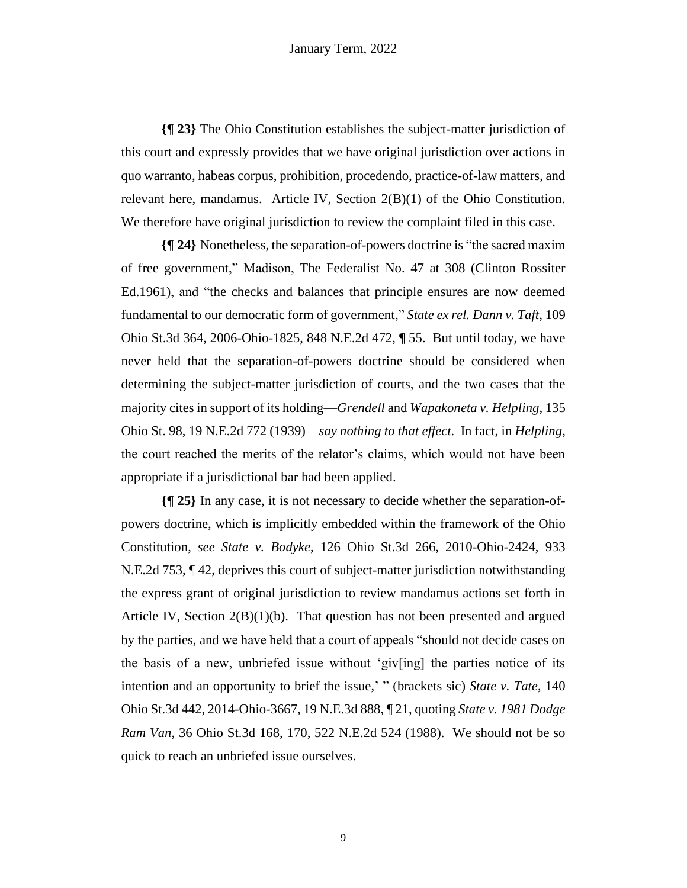**{¶ 23}** The Ohio Constitution establishes the subject-matter jurisdiction of this court and expressly provides that we have original jurisdiction over actions in quo warranto, habeas corpus, prohibition, procedendo, practice-of-law matters, and relevant here, mandamus. Article IV, Section 2(B)(1) of the Ohio Constitution. We therefore have original jurisdiction to review the complaint filed in this case.

**{¶ 24}** Nonetheless, the separation-of-powers doctrine is "the sacred maxim of free government," Madison, The Federalist No. 47 at 308 (Clinton Rossiter Ed.1961), and "the checks and balances that principle ensures are now deemed fundamental to our democratic form of government," *State ex rel. Dann v. Taft*, 109 Ohio St.3d 364, 2006-Ohio-1825, 848 N.E.2d 472, ¶ 55. But until today, we have never held that the separation-of-powers doctrine should be considered when determining the subject-matter jurisdiction of courts, and the two cases that the majority cites in support of its holding—*Grendell* and *Wapakoneta v. Helpling*, 135 Ohio St. 98, 19 N.E.2d 772 (1939)—*say nothing to that effect*. In fact, in *Helpling*, the court reached the merits of the relator's claims, which would not have been appropriate if a jurisdictional bar had been applied.

**{¶ 25}** In any case, it is not necessary to decide whether the separation-ofpowers doctrine, which is implicitly embedded within the framework of the Ohio Constitution, *see State v. Bodyke*, 126 Ohio St.3d 266, 2010-Ohio-2424, 933 N.E.2d 753, ¶ 42, deprives this court of subject-matter jurisdiction notwithstanding the express grant of original jurisdiction to review mandamus actions set forth in Article IV, Section  $2(B)(1)(b)$ . That question has not been presented and argued by the parties, and we have held that a court of appeals "should not decide cases on the basis of a new, unbriefed issue without 'giv[ing] the parties notice of its intention and an opportunity to brief the issue,' " (brackets sic) *State v. Tate*, 140 Ohio St.3d 442, 2014-Ohio-3667, 19 N.E.3d 888, ¶ 21, quoting *State v. 1981 Dodge Ram Van*, 36 Ohio St.3d 168, 170, 522 N.E.2d 524 (1988). We should not be so quick to reach an unbriefed issue ourselves.